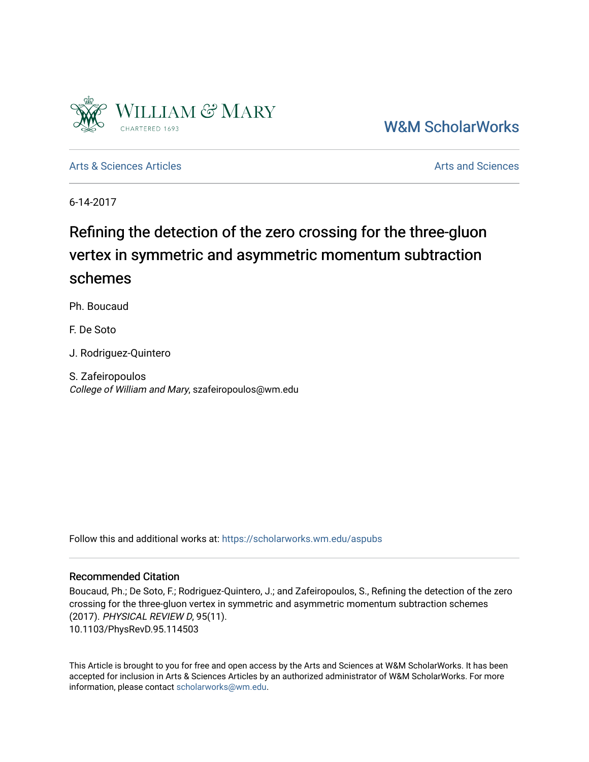

[W&M ScholarWorks](https://scholarworks.wm.edu/) 

[Arts & Sciences Articles](https://scholarworks.wm.edu/aspubs) **Articles** [Arts and Sciences](https://scholarworks.wm.edu/as) Articles Arts and Sciences Arts and Sciences Articles **Arts** and Sciences Articles **Arts** and Sciences **Arts** and Sciences **Arts** and Sciences **Arts** and Sciences **Arts** 

6-14-2017

## Refining the detection of the zero crossing for the three-gluon vertex in symmetric and asymmetric momentum subtraction schemes

Ph. Boucaud

F. De Soto

J. Rodriguez-Quintero

S. Zafeiropoulos College of William and Mary, szafeiropoulos@wm.edu

Follow this and additional works at: [https://scholarworks.wm.edu/aspubs](https://scholarworks.wm.edu/aspubs?utm_source=scholarworks.wm.edu%2Faspubs%2F178&utm_medium=PDF&utm_campaign=PDFCoverPages) 

## Recommended Citation

Boucaud, Ph.; De Soto, F.; Rodriguez-Quintero, J.; and Zafeiropoulos, S., Refining the detection of the zero crossing for the three-gluon vertex in symmetric and asymmetric momentum subtraction schemes (2017). PHYSICAL REVIEW D, 95(11). 10.1103/PhysRevD.95.114503

This Article is brought to you for free and open access by the Arts and Sciences at W&M ScholarWorks. It has been accepted for inclusion in Arts & Sciences Articles by an authorized administrator of W&M ScholarWorks. For more information, please contact [scholarworks@wm.edu](mailto:scholarworks@wm.edu).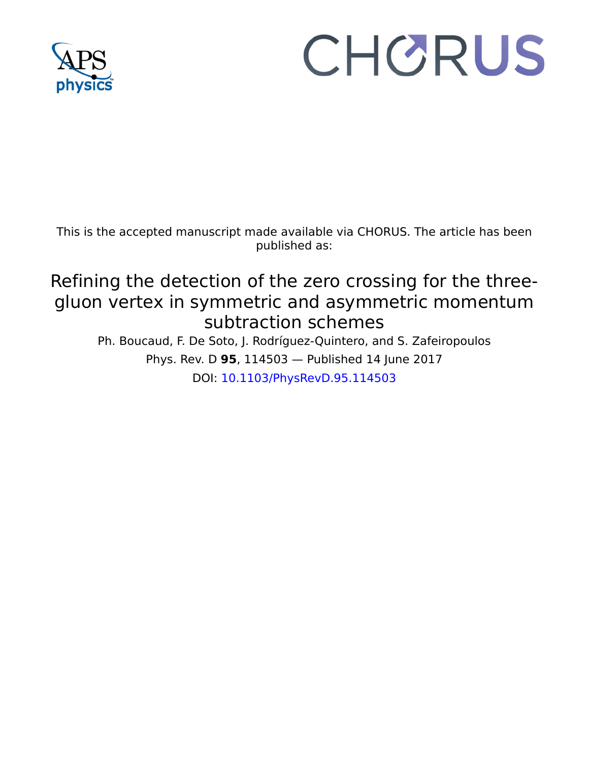

# CHORUS

This is the accepted manuscript made available via CHORUS. The article has been published as:

# Refining the detection of the zero crossing for the threegluon vertex in symmetric and asymmetric momentum subtraction schemes

Ph. Boucaud, F. De Soto, J. Rodríguez-Quintero, and S. Zafeiropoulos Phys. Rev. D **95**, 114503 — Published 14 June 2017 DOI: [10.1103/PhysRevD.95.114503](http://dx.doi.org/10.1103/PhysRevD.95.114503)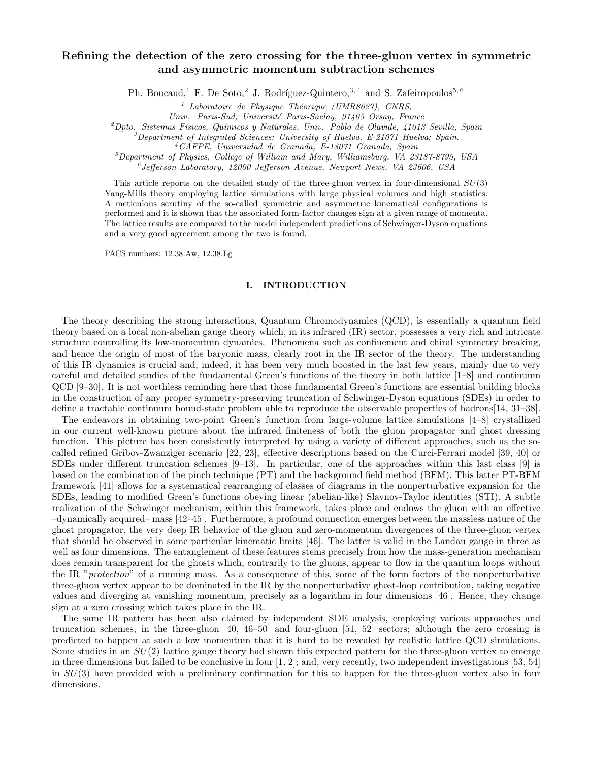### Refining the detection of the zero crossing for the three-gluon vertex in symmetric and asymmetric momentum subtraction schemes

Ph. Boucaud,<sup>1</sup> F. De Soto,<sup>2</sup> J. Rodríguez-Quintero,<sup>3,4</sup> and S. Zafeiropoulos<sup>5,6</sup>

<sup>1</sup> Laboratoire de Physique Théorique (UMR8627), CNRS,

Univ. Paris-Sud, Université Paris-Saclay, 91405 Orsay, France

 $^{2}Dpto.$  Sistemas Físicos, Químicos y Naturales, Univ. Pablo de Olavide, 41013 Sevilla, Spain

 $\beta^3$ Department of Integrated Sciences; University of Huelva, E-21071 Huelva; Spain.

<sup>4</sup>CAFPE, Universidad de Granada, E-18071 Granada, Spain

<sup>5</sup>Department of Physics, College of William and Mary, Williamsburg, VA 23187-8795, USA

6 Jefferson Laboratory, 12000 Jefferson Avenue, Newport News, VA 23606, USA

This article reports on the detailed study of the three-gluon vertex in four-dimensional  $SU(3)$ Yang-Mills theory employing lattice simulations with large physical volumes and high statistics. A meticulous scrutiny of the so-called symmetric and asymmetric kinematical configurations is performed and it is shown that the associated form-factor changes sign at a given range of momenta. The lattice results are compared to the model independent predictions of Schwinger-Dyson equations and a very good agreement among the two is found.

PACS numbers: 12.38.Aw, 12.38.Lg

#### I. INTRODUCTION

The theory describing the strong interactions, Quantum Chromodynamics (QCD), is essentially a quantum field theory based on a local non-abelian gauge theory which, in its infrared (IR) sector, possesses a very rich and intricate structure controlling its low-momentum dynamics. Phenomena such as confinement and chiral symmetry breaking, and hence the origin of most of the baryonic mass, clearly root in the IR sector of the theory. The understanding of this IR dynamics is crucial and, indeed, it has been very much boosted in the last few years, mainly due to very careful and detailed studies of the fundamental Green's functions of the theory in both lattice [1–8] and continuum QCD [9–30]. It is not worthless reminding here that those fundamental Green's functions are essential building blocks in the construction of any proper symmetry-preserving truncation of Schwinger-Dyson equations (SDEs) in order to define a tractable continuum bound-state problem able to reproduce the observable properties of hadrons[14, 31–38].

The endeavors in obtaining two-point Green's function from large-volume lattice simulations [4–8] crystallized in our current well-known picture about the infrared finiteness of both the gluon propagator and ghost dressing function. This picture has been consistently interpreted by using a variety of different approaches, such as the socalled refined Gribov-Zwanziger scenario [22, 23], effective descriptions based on the Curci-Ferrari model [39, 40] or SDEs under different truncation schemes [9–13]. In particular, one of the approaches within this last class [9] is based on the combination of the pinch technique (PT) and the background field method (BFM). This latter PT-BFM framework [41] allows for a systematical rearranging of classes of diagrams in the nonperturbative expansion for the SDEs, leading to modified Green's functions obeying linear (abelian-like) Slavnov-Taylor identities (STI). A subtle realization of the Schwinger mechanism, within this framework, takes place and endows the gluon with an effective –dynamically acquired– mass [42–45]. Furthermore, a profound connection emerges between the massless nature of the ghost propagator, the very deep IR behavior of the gluon and zero-momentum divergences of the three-gluon vertex that should be observed in some particular kinematic limits [46]. The latter is valid in the Landau gauge in three as well as four dimensions. The entanglement of these features stems precisely from how the mass-generation mechanism does remain transparent for the ghosts which, contrarily to the gluons, appear to flow in the quantum loops without the IR "protection" of a running mass. As a consequence of this, some of the form factors of the nonperturbative three-gluon vertex appear to be dominated in the IR by the nonperturbative ghost-loop contribution, taking negative values and diverging at vanishing momentum, precisely as a logarithm in four dimensions [46]. Hence, they change sign at a zero crossing which takes place in the IR.

The same IR pattern has been also claimed by independent SDE analysis, employing various approaches and truncation schemes, in the three-gluon [40, 46–50] and four-gluon [51, 52] sectors; although the zero crossing is predicted to happen at such a low momentum that it is hard to be revealed by realistic lattice QCD simulations. Some studies in an  $SU(2)$  lattice gauge theory had shown this expected pattern for the three-gluon vertex to emerge in three dimensions but failed to be conclusive in four  $[1, 2]$ ; and, very recently, two independent investigations [53, 54] in  $SU(3)$  have provided with a preliminary confirmation for this to happen for the three-gluon vertex also in four dimensions.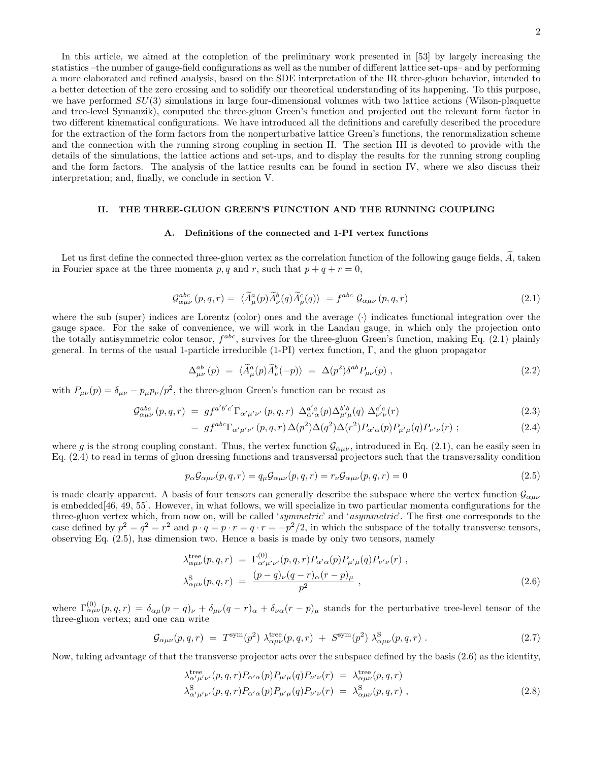In this article, we aimed at the completion of the preliminary work presented in [53] by largely increasing the statistics –the number of gauge-field configurations as well as the number of different lattice set-ups– and by performing a more elaborated and refined analysis, based on the SDE interpretation of the IR three-gluon behavior, intended to a better detection of the zero crossing and to solidify our theoretical understanding of its happening. To this purpose, we have performed  $SU(3)$  simulations in large four-dimensional volumes with two lattice actions (Wilson-plaquette and tree-level Symanzik), computed the three-gluon Green's function and projected out the relevant form factor in two different kinematical configurations. We have introduced all the definitions and carefully described the procedure for the extraction of the form factors from the nonperturbative lattice Green's functions, the renormalization scheme and the connection with the running strong coupling in section II. The section III is devoted to provide with the details of the simulations, the lattice actions and set-ups, and to display the results for the running strong coupling and the form factors. The analysis of the lattice results can be found in section IV, where we also discuss their interpretation; and, finally, we conclude in section V.

#### II. THE THREE-GLUON GREEN'S FUNCTION AND THE RUNNING COUPLING

#### A. Definitions of the connected and 1-PI vertex functions

Let us first define the connected three-gluon vertex as the correlation function of the following gauge fields,  $\widetilde{A}$ , taken in Fourier space at the three momenta p, q and r, such that  $p+q+r=0$ ,

$$
\mathcal{G}^{abc}_{\alpha\mu\nu}(p,q,r) = \langle \widetilde{A}^a_\mu(p) \widetilde{A}^b_\nu(q) \widetilde{A}^c_\rho(q) \rangle = f^{abc} \mathcal{G}_{\alpha\mu\nu}(p,q,r) \tag{2.1}
$$

where the sub (super) indices are Lorentz (color) ones and the average  $\langle \cdot \rangle$  indicates functional integration over the gauge space. For the sake of convenience, we will work in the Landau gauge, in which only the projection onto the totally antisymmetric color tensor,  $f^{abc}$ , survives for the three-gluon Green's function, making Eq. (2.1) plainly general. In terms of the usual 1-particle irreducible (1-PI) vertex function, Γ, and the gluon propagator

$$
\Delta_{\mu\nu}^{ab}(p) = \langle \widetilde{A}_{\mu}^{a}(p)\widetilde{A}_{\nu}^{b}(-p)\rangle = \Delta(p^{2})\delta^{ab}P_{\mu\nu}(p) , \qquad (2.2)
$$

with  $P_{\mu\nu}(p) = \delta_{\mu\nu} - p_{\mu}p_{\nu}/p^2$ , the three-gluon Green's function can be recast as

$$
\mathcal{G}^{abc}_{\alpha\mu\nu}(p,q,r) = gf^{a'b'c'}\Gamma_{\alpha'\mu'\nu'}(p,q,r)\ \Delta_{\alpha'\alpha}^{a'a}(p)\Delta_{\mu'\mu}^{b'b}(q)\ \Delta_{\nu'\nu}^{c'c}(r) \tag{2.3}
$$

$$
= gf^{abc}\Gamma_{\alpha'\mu'\nu'}(p,q,r)\Delta(p^2)\Delta(q^2)\Delta(r^2)P_{\alpha'\alpha}(p)P_{\mu'\mu}(q)P_{\nu'\nu}(r) ; \qquad (2.4)
$$

where g is the strong coupling constant. Thus, the vertex function  $\mathcal{G}_{\alpha\mu\nu}$ , introduced in Eq. (2.1), can be easily seen in Eq. (2.4) to read in terms of gluon dressing functions and transversal projectors such that the transversality condition

$$
p_{\alpha} \mathcal{G}_{\alpha\mu\nu}(p,q,r) = q_{\mu} \mathcal{G}_{\alpha\mu\nu}(p,q,r) = r_{\nu} \mathcal{G}_{\alpha\mu\nu}(p,q,r) = 0 \tag{2.5}
$$

is made clearly apparent. A basis of four tensors can generally describe the subspace where the vertex function  $\mathcal{G}_{\alpha\mu\nu}$ is embedded[46, 49, 55]. However, in what follows, we will specialize in two particular momenta configurations for the three-gluon vertex which, from now on, will be called 'symmetric' and 'asymmetric'. The first one corresponds to the case defined by  $p^2 = q^2 = r^2$  and  $p \cdot q = p \cdot r = q \cdot r = -p^2/2$ , in which the subspace of the totally transverse tensors, observing Eq. (2.5), has dimension two. Hence a basis is made by only two tensors, namely

$$
\lambda_{\alpha\mu\nu}^{\text{tree}}(p,q,r) = \Gamma_{\alpha'\mu'\nu'}^{(0)}(p,q,r) P_{\alpha'\alpha}(p) P_{\mu'\mu}(q) P_{\nu'\nu}(r) ,
$$
\n
$$
\lambda_{\alpha\mu\nu}^{\text{S}}(p,q,r) = \frac{(p-q)_{\nu}(q-r)_{\alpha}(r-p)_{\mu}}{p^2} ,
$$
\n(2.6)

where  $\Gamma^{(0)}_{\alpha\mu\nu}(p,q,r) = \delta_{\alpha\mu}(p-q)_{\nu} + \delta_{\mu\nu}(q-r)_{\alpha} + \delta_{\nu\alpha}(r-p)_{\mu}$  stands for the perturbative tree-level tensor of the three-gluon vertex; and one can write

$$
\mathcal{G}_{\alpha\mu\nu}(p,q,r) = T^{\text{sym}}(p^2) \lambda^{\text{tree}}_{\alpha\mu\nu}(p,q,r) + S^{\text{sym}}(p^2) \lambda^{\text{S}}_{\alpha\mu\nu}(p,q,r) . \qquad (2.7)
$$

Now, taking advantage of that the transverse projector acts over the subspace defined by the basis (2.6) as the identity,

$$
\lambda_{\alpha'\mu'\nu'}^{\text{tree}}(p,q,r)P_{\alpha'\alpha}(p)P_{\mu'\mu}(q)P_{\nu'\nu}(r) = \lambda_{\alpha\mu\nu}^{\text{tree}}(p,q,r) \n\lambda_{\alpha'\mu'\nu'}^{\text{S}}(p,q,r)P_{\alpha'\alpha}(p)P_{\mu'\mu}(q)P_{\nu'\nu}(r) = \lambda_{\alpha\mu\nu}^{\text{S}}(p,q,r) ,
$$
\n(2.8)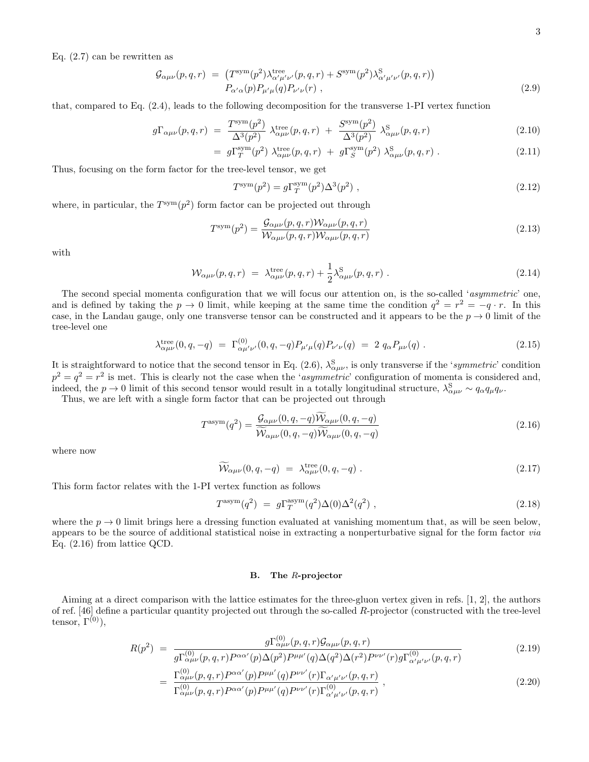Eq. (2.7) can be rewritten as

$$
\mathcal{G}_{\alpha\mu\nu}(p,q,r) = \left(T^{\text{sym}}(p^2)\lambda^{\text{tree}}_{\alpha'\mu'\nu'}(p,q,r) + S^{\text{sym}}(p^2)\lambda^{\text{S}}_{\alpha'\mu'\nu'}(p,q,r)\right) \nP_{\alpha'\alpha}(p)P_{\mu'\mu}(q)P_{\nu'\nu}(r) ,
$$
\n(2.9)

that, compared to Eq. (2.4), leads to the following decomposition for the transverse 1-PI vertex function

$$
g\Gamma_{\alpha\mu\nu}(p,q,r) = \frac{T^{\text{sym}}(p^2)}{\Delta^3(p^2)} \lambda^{\text{tree}}_{\alpha\mu\nu}(p,q,r) + \frac{S^{\text{sym}}(p^2)}{\Delta^3(p^2)} \lambda^{\text{S}}_{\alpha\mu\nu}(p,q,r) \tag{2.10}
$$

$$
= g\Gamma_T^{\text{sym}}(p^2) \; \lambda_{\alpha\mu\nu}^{\text{tree}}(p,q,r) \; + \; g\Gamma_S^{\text{sym}}(p^2) \; \lambda_{\alpha\mu\nu}^{\text{S}}(p,q,r) \; . \tag{2.11}
$$

Thus, focusing on the form factor for the tree-level tensor, we get

$$
T^{\text{sym}}(p^2) = g\Gamma_T^{\text{sym}}(p^2)\Delta^3(p^2) \tag{2.12}
$$

where, in particular, the  $T^{sym}(p^2)$  form factor can be projected out through

$$
T^{\text{sym}}(p^2) = \frac{\mathcal{G}_{\alpha\mu\nu}(p,q,r)\mathcal{W}_{\alpha\mu\nu}(p,q,r)}{\mathcal{W}_{\alpha\mu\nu}(p,q,r)\mathcal{W}_{\alpha\mu\nu}(p,q,r)}
$$
(2.13)

with

$$
\mathcal{W}_{\alpha\mu\nu}(p,q,r) = \lambda_{\alpha\mu\nu}^{\text{tree}}(p,q,r) + \frac{1}{2} \lambda_{\alpha\mu\nu}^{\text{S}}(p,q,r) \tag{2.14}
$$

The second special momenta configuration that we will focus our attention on, is the so-called 'asymmetric' one, and is defined by taking the  $p \to 0$  limit, while keeping at the same time the condition  $q^2 = r^2 = -q \cdot r$ . In this case, in the Landau gauge, only one transverse tensor can be constructed and it appears to be the  $p \to 0$  limit of the tree-level one

$$
\lambda_{\alpha\mu\nu}^{\text{tree}}(0,q,-q) \ = \ \Gamma_{\alpha\mu'\nu'}^{(0)}(0,q,-q) P_{\mu'\mu}(q) P_{\nu'\nu}(q) \ = \ 2 \ q_{\alpha} P_{\mu\nu}(q) \ . \tag{2.15}
$$

It is straightforward to notice that the second tensor in Eq. (2.6),  $\lambda_{\alpha\mu\nu}^{S}$ , is only transverse if the 'symmetric' condition  $p^2 = q^2 = r^2$  is met. This is clearly not the case when the 'asymmetric' configuration of momenta is considered and, indeed, the  $p \to 0$  limit of this second tensor would result in a totally longitudinal structure,  $\lambda_{\alpha\mu\nu}^{S} \sim q_{\alpha}q_{\mu}q_{\nu}$ .

Thus, we are left with a single form factor that can be projected out through

$$
T^{\text{asym}}(q^2) = \frac{\mathcal{G}_{\alpha\mu\nu}(0, q, -q)\mathcal{W}_{\alpha\mu\nu}(0, q, -q)}{\widetilde{\mathcal{W}}_{\alpha\mu\nu}(0, q, -q)\widetilde{\mathcal{W}}_{\alpha\mu\nu}(0, q, -q)}
$$
(2.16)

where now

$$
\widetilde{\mathcal{W}}_{\alpha\mu\nu}(0,q,-q) = \lambda_{\alpha\mu\nu}^{\text{tree}}(0,q,-q) . \qquad (2.17)
$$

This form factor relates with the 1-PI vertex function as follows

$$
T^{\text{asym}}(q^2) = g\Gamma_T^{\text{asym}}(q^2)\Delta(0)\Delta^2(q^2) , \qquad (2.18)
$$

where the  $p \to 0$  limit brings here a dressing function evaluated at vanishing momentum that, as will be seen below, appears to be the source of additional statistical noise in extracting a nonperturbative signal for the form factor via Eq. (2.16) from lattice QCD.

#### B. The R-projector

Aiming at a direct comparison with the lattice estimates for the three-gluon vertex given in refs. [1, 2], the authors of ref. [46] define a particular quantity projected out through the so-called R-projector (constructed with the tree-level tensor,  $\Gamma^{(0)}$ ),

$$
R(p^2) = \frac{g\Gamma^{(0)}_{\alpha\mu\nu}(p,q,r)\mathcal{G}_{\alpha\mu\nu}(p,q,r)}{\sigma\Gamma^{(0)}_{\alpha\mu\alpha}(\rho_{\alpha\alpha}(\rho_{\alpha})\Lambda(\rho_{\alpha}^{2})\mathcal{P}_{\mu\nu}(\rho_{\alpha})\Lambda(\rho_{\alpha}^{2})\Lambda(\rho_{\alpha}^{2})\mathcal{P}_{\mu\nu}(\rho_{\alpha})\sigma\Gamma^{(0)}(\rho_{\alpha\alpha}(\rho_{\alpha}^{2}))} \tag{2.19}
$$

$$
g\Gamma_{\alpha\mu\nu}^{(0)}(p,q,r)P^{\alpha\alpha'}(p)\Delta(p^2)P^{\mu\mu'}(q)\Delta(q^2)\Delta(r^2)P^{\nu\nu'}(r)g\Gamma_{\alpha'\mu'\nu'}^{(0)}(p,q,r)
$$
  
= 
$$
\Gamma_{\alpha\mu\nu}^{(0)}(p,q,r)P^{\alpha\alpha'}(p)P^{\mu\mu'}(q)P^{\nu\nu'}(r)\Gamma_{\alpha'\mu'\nu'}(p,q,r)
$$
 (2.20)

$$
= \frac{\Gamma_{\alpha\mu\nu}(p,q,r)^2}{\Gamma_{\alpha\mu\nu}^{(0)}(p,q,r)P^{\alpha\alpha'}(p)P^{\mu\mu'}(q)P^{\nu\nu'}(r)\Gamma_{\alpha'\mu'\nu'}^{(0)}} \,, \tag{2.20}
$$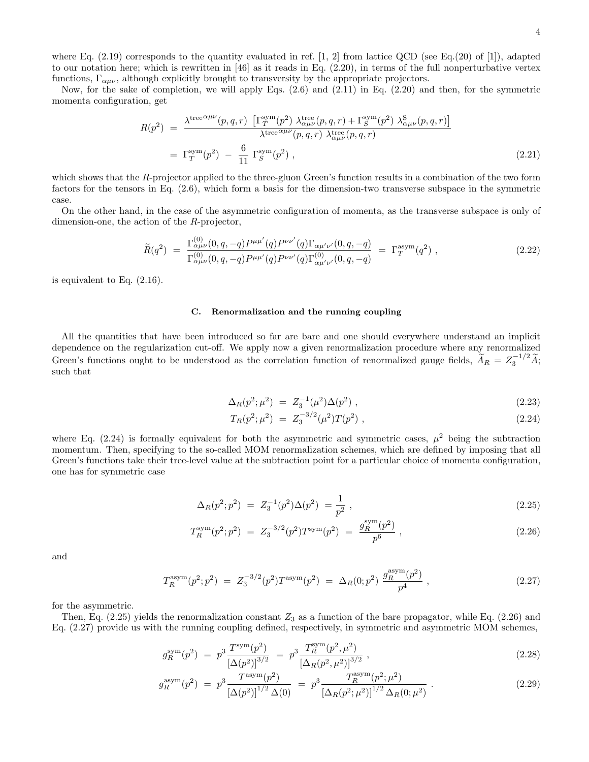where Eq.  $(2.19)$  corresponds to the quantity evaluated in ref. [1, 2] from lattice QCD (see Eq. $(20)$  of [1]), adapted to our notation here; which is rewritten in  $[46]$  as it reads in Eq.  $(2.20)$ , in terms of the full nonperturbative vertex functions,  $\Gamma_{\alpha\mu\nu}$ , although explicitly brought to transversity by the appropriate projectors.

Now, for the sake of completion, we will apply Eqs. (2.6) and (2.11) in Eq. (2.20) and then, for the symmetric momenta configuration, get

$$
R(p^2) = \frac{\lambda^{\text{tree}}{}^{\alpha\mu\nu}(p,q,r) \left[\Gamma_T^{\text{sym}}(p^2) \lambda^{\text{tree}}_{\alpha\mu\nu}(p,q,r) + \Gamma_S^{\text{sym}}(p^2) \lambda^{\text{S}}_{\alpha\mu\nu}(p,q,r)\right]}{\lambda^{\text{tree}}{}^{\alpha\mu\nu}(p,q,r) \lambda^{\text{tree}}_{\alpha\mu\nu}(p,q,r)}
$$
  
=  $\Gamma_T^{\text{sym}}(p^2) - \frac{6}{11} \Gamma_S^{\text{sym}}(p^2)$ , (2.21)

which shows that the R-projector applied to the three-gluon Green's function results in a combination of the two form factors for the tensors in Eq. (2.6), which form a basis for the dimension-two transverse subspace in the symmetric case.

On the other hand, in the case of the asymmetric configuration of momenta, as the transverse subspace is only of dimension-one, the action of the R-projector,

$$
\widetilde{R}(q^2) = \frac{\Gamma^{(0)}_{\alpha\mu\nu}(0,q,-q)P^{\mu\mu'}(q)P^{\nu\nu'}(q)\Gamma_{\alpha\mu'\nu'}(0,q,-q)}{\Gamma^{(0)}_{\alpha\mu\nu}(0,q,-q)P^{\mu\mu'}(q)P^{\nu\nu'}(q)\Gamma^{(0)}_{\alpha\mu'\nu'}(0,q,-q)} = \Gamma_T^{\text{asym}}(q^2) ,
$$
\n(2.22)

is equivalent to Eq. (2.16).

#### C. Renormalization and the running coupling

All the quantities that have been introduced so far are bare and one should everywhere understand an implicit dependence on the regularization cut-off. We apply now a given renormalization procedure where any renormalized Green's functions ought to be understood as the correlation function of renormalized gauge fields,  $\widetilde{A}_R = Z_3^{-1/2} \widetilde{A}$ ; such that

$$
\Delta_R(p^2; \mu^2) = Z_3^{-1}(\mu^2) \Delta(p^2) \,, \tag{2.23}
$$

$$
T_R(p^2; \mu^2) = Z_3^{-3/2}(\mu^2) T(p^2) , \qquad (2.24)
$$

where Eq. (2.24) is formally equivalent for both the asymmetric and symmetric cases,  $\mu^2$  being the subtraction momentum. Then, specifying to the so-called MOM renormalization schemes, which are defined by imposing that all Green's functions take their tree-level value at the subtraction point for a particular choice of momenta configuration, one has for symmetric case

$$
\Delta_R(p^2; p^2) = Z_3^{-1}(p^2)\Delta(p^2) = \frac{1}{p^2}, \qquad (2.25)
$$

$$
T_R^{\text{sym}}(p^2;p^2) = Z_3^{-3/2}(p^2)T^{\text{sym}}(p^2) = \frac{g_R^{\text{sym}}(p^2)}{p^6} , \qquad (2.26)
$$

and

$$
T_R^{\text{asym}}(p^2;p^2) = Z_3^{-3/2}(p^2)T^{\text{asym}}(p^2) = \Delta_R(0;p^2) \frac{g_R^{\text{asym}}(p^2)}{p^4} , \qquad (2.27)
$$

for the asymmetric.

Then, Eq.  $(2.25)$  yields the renormalization constant  $Z_3$  as a function of the bare propagator, while Eq.  $(2.26)$  and Eq. (2.27) provide us with the running coupling defined, respectively, in symmetric and asymmetric MOM schemes,

$$
g_R^{\text{sym}}(p^2) = p^3 \frac{T^{\text{sym}}(p^2)}{\left[\Delta(p^2)\right]^{3/2}} = p^3 \frac{T_R^{\text{sym}}(p^2, \mu^2)}{\left[\Delta_R(p^2, \mu^2)\right]^{3/2}},
$$
\n(2.28)

$$
g_R^{\text{asym}}(p^2) = p^3 \frac{T^{\text{asym}}(p^2)}{\left[\Delta(p^2)\right]^{1/2} \Delta(0)} = p^3 \frac{T_R^{\text{asym}}(p^2; \mu^2)}{\left[\Delta_R(p^2; \mu^2)\right]^{1/2} \Delta_R(0; \mu^2)}.
$$
\n(2.29)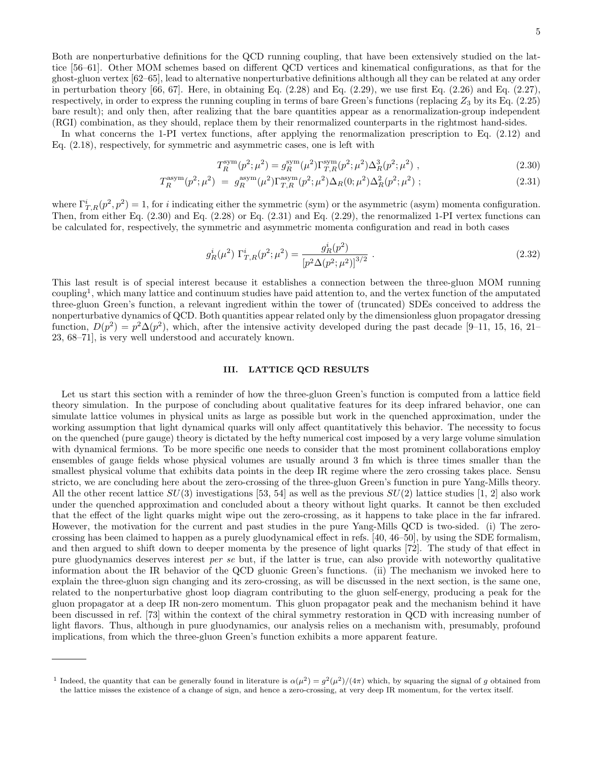Both are nonperturbative definitions for the QCD running coupling, that have been extensively studied on the lattice [56–61]. Other MOM schemes based on different QCD vertices and kinematical configurations, as that for the ghost-gluon vertex [62–65], lead to alternative nonperturbative definitions although all they can be related at any order in perturbation theory  $[66, 67]$ . Here, in obtaining Eq.  $(2.28)$  and Eq.  $(2.29)$ , we use first Eq.  $(2.26)$  and Eq.  $(2.27)$ , respectively, in order to express the running coupling in terms of bare Green's functions (replacing  $Z_3$  by its Eq. (2.25) bare result); and only then, after realizing that the bare quantities appear as a renormalization-group independent (RGI) combination, as they should, replace them by their renormalized counterparts in the rightmost hand-sides.

In what concerns the 1-PI vertex functions, after applying the renormalization prescription to Eq. (2.12) and Eq. (2.18), respectively, for symmetric and asymmetric cases, one is left with

$$
T_R^{\text{sym}}(p^2; \mu^2) = g_R^{\text{sym}}(\mu^2) \Gamma_{T,R}^{\text{sym}}(p^2; \mu^2) \Delta_R^3(p^2; \mu^2) , \qquad (2.30)
$$

$$
T_R^{\text{asym}}(p^2; \mu^2) = g_R^{\text{asym}}(\mu^2) \Gamma_{T,R}^{\text{asym}}(p^2; \mu^2) \Delta_R(0; \mu^2) \Delta_R^2(p^2; \mu^2) ; \qquad (2.31)
$$

where  $\Gamma_{T,R}^i(p^2, p^2) = 1$ , for i indicating either the symmetric (sym) or the asymmetric (asym) momenta configuration. Then, from either Eq.  $(2.30)$  and Eq.  $(2.28)$  or Eq.  $(2.31)$  and Eq.  $(2.29)$ , the renormalized 1-PI vertex functions can be calculated for, respectively, the symmetric and asymmetric momenta configuration and read in both cases

$$
g_R^i(\mu^2) \Gamma_{T,R}^i(p^2; \mu^2) = \frac{g_R^i(p^2)}{\left[p^2 \Delta(p^2; \mu^2)\right]^{3/2}} \,. \tag{2.32}
$$

This last result is of special interest because it establishes a connection between the three-gluon MOM running coupling<sup>1</sup> , which many lattice and continuum studies have paid attention to, and the vertex function of the amputated three-gluon Green's function, a relevant ingredient within the tower of (truncated) SDEs conceived to address the nonperturbative dynamics of QCD. Both quantities appear related only by the dimensionless gluon propagator dressing function,  $D(p^2) = p^2 \Delta(p^2)$ , which, after the intensive activity developed during the past decade [9–11, 15, 16, 21– 23, 68–71], is very well understood and accurately known.

#### III. LATTICE QCD RESULTS

Let us start this section with a reminder of how the three-gluon Green's function is computed from a lattice field theory simulation. In the purpose of concluding about qualitative features for its deep infrared behavior, one can simulate lattice volumes in physical units as large as possible but work in the quenched approximation, under the working assumption that light dynamical quarks will only affect quantitatively this behavior. The necessity to focus on the quenched (pure gauge) theory is dictated by the hefty numerical cost imposed by a very large volume simulation with dynamical fermions. To be more specific one needs to consider that the most prominent collaborations employ ensembles of gauge fields whose physical volumes are usually around 3 fm which is three times smaller than the smallest physical volume that exhibits data points in the deep IR regime where the zero crossing takes place. Sensu stricto, we are concluding here about the zero-crossing of the three-gluon Green's function in pure Yang-Mills theory. All the other recent lattice  $SU(3)$  investigations [53, 54] as well as the previous  $SU(2)$  lattice studies [1, 2] also work under the quenched approximation and concluded about a theory without light quarks. It cannot be then excluded that the effect of the light quarks might wipe out the zero-crossing, as it happens to take place in the far infrared. However, the motivation for the current and past studies in the pure Yang-Mills QCD is two-sided. (i) The zerocrossing has been claimed to happen as a purely gluodynamical effect in refs. [40, 46–50], by using the SDE formalism, and then argued to shift down to deeper momenta by the presence of light quarks [72]. The study of that effect in pure gluodynamics deserves interest per se but, if the latter is true, can also provide with noteworthy qualitative information about the IR behavior of the QCD gluonic Green's functions. (ii) The mechanism we invoked here to explain the three-gluon sign changing and its zero-crossing, as will be discussed in the next section, is the same one, related to the nonperturbative ghost loop diagram contributing to the gluon self-energy, producing a peak for the gluon propagator at a deep IR non-zero momentum. This gluon propagator peak and the mechanism behind it have been discussed in ref. [73] within the context of the chiral symmetry restoration in QCD with increasing number of light flavors. Thus, although in pure gluodynamics, our analysis relies on a mechanism with, presumably, profound implications, from which the three-gluon Green's function exhibits a more apparent feature.

<sup>&</sup>lt;sup>1</sup> Indeed, the quantity that can be generally found in literature is  $\alpha(\mu^2) = g^2(\mu^2)/(4\pi)$  which, by squaring the signal of g obtained from the lattice misses the existence of a change of sign, and hence a zero-crossing, at very deep IR momentum, for the vertex itself.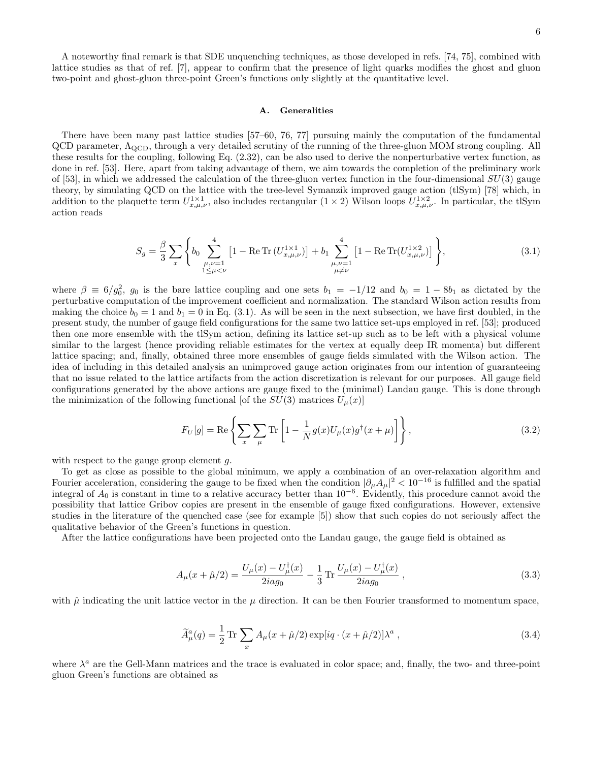A noteworthy final remark is that SDE unquenching techniques, as those developed in refs. [74, 75], combined with lattice studies as that of ref. [7], appear to confirm that the presence of light quarks modifies the ghost and gluon two-point and ghost-gluon three-point Green's functions only slightly at the quantitative level.

#### A. Generalities

There have been many past lattice studies [57–60, 76, 77] pursuing mainly the computation of the fundamental  $QCD$  parameter,  $\Lambda_{QCD}$ , through a very detailed scrutiny of the running of the three-gluon MOM strong coupling. All these results for the coupling, following Eq. (2.32), can be also used to derive the nonperturbative vertex function, as done in ref. [53]. Here, apart from taking advantage of them, we aim towards the completion of the preliminary work of [53], in which we addressed the calculation of the three-gluon vertex function in the four-dimensional  $SU(3)$  gauge theory, by simulating QCD on the lattice with the tree-level Symanzik improved gauge action (tlSym) [78] which, in addition to the plaquette term  $U_{x,\mu,\nu}^{1\times1}$ , also includes rectangular  $(1\times2)$  Wilson loops  $U_{x,\mu,\nu}^{1\times2}$ . In particular, the tlSym action reads

$$
S_g = \frac{\beta}{3} \sum_{x} \left\{ b_0 \sum_{\substack{\mu,\nu=1 \\ 1 \le \mu < \nu}}^4 \left[ 1 - \text{Re Tr} \left( U_{x,\mu,\nu}^{1 \times 1} \right) \right] + b_1 \sum_{\substack{\mu,\nu=1 \\ \mu \ne \nu}}^4 \left[ 1 - \text{Re Tr} \left( U_{x,\mu,\nu}^{1 \times 2} \right) \right] \right\},\tag{3.1}
$$

where  $\beta \equiv 6/g_0^2$ ,  $g_0$  is the bare lattice coupling and one sets  $b_1 = -1/12$  and  $b_0 = 1 - 8b_1$  as dictated by the perturbative computation of the improvement coefficient and normalization. The standard Wilson action results from making the choice  $b_0 = 1$  and  $b_1 = 0$  in Eq. (3.1). As will be seen in the next subsection, we have first doubled, in the present study, the number of gauge field configurations for the same two lattice set-ups employed in ref. [53]; produced then one more ensemble with the tlSym action, defining its lattice set-up such as to be left with a physical volume similar to the largest (hence providing reliable estimates for the vertex at equally deep IR momenta) but different lattice spacing; and, finally, obtained three more ensembles of gauge fields simulated with the Wilson action. The idea of including in this detailed analysis an unimproved gauge action originates from our intention of guaranteeing that no issue related to the lattice artifacts from the action discretization is relevant for our purposes. All gauge field configurations generated by the above actions are gauge fixed to the (minimal) Landau gauge. This is done through the minimization of the following functional [of the  $SU(3)$  matrices  $U_{\mu}(x)$ ]

$$
F_U[g] = \text{Re}\left\{\sum_x \sum_{\mu} \text{Tr}\left[1 - \frac{1}{N}g(x)U_{\mu}(x)g^{\dagger}(x+\mu)\right]\right\},\tag{3.2}
$$

with respect to the gauge group element g.

To get as close as possible to the global minimum, we apply a combination of an over-relaxation algorithm and Fourier acceleration, considering the gauge to be fixed when the condition  $|\partial_\mu A_\mu|^2 < 10^{-16}$  is fulfilled and the spatial integral of  $A_0$  is constant in time to a relative accuracy better than  $10^{-6}$ . Evidently, this procedure cannot avoid the possibility that lattice Gribov copies are present in the ensemble of gauge fixed configurations. However, extensive studies in the literature of the quenched case (see for example [5]) show that such copies do not seriously affect the qualitative behavior of the Green's functions in question.

After the lattice configurations have been projected onto the Landau gauge, the gauge field is obtained as

$$
A_{\mu}(x+\hat{\mu}/2) = \frac{U_{\mu}(x) - U_{\mu}^{\dagger}(x)}{2iag_0} - \frac{1}{3} \operatorname{Tr} \frac{U_{\mu}(x) - U_{\mu}^{\dagger}(x)}{2iag_0} , \qquad (3.3)
$$

with  $\hat{\mu}$  indicating the unit lattice vector in the  $\mu$  direction. It can be then Fourier transformed to momentum space,

$$
\widetilde{A}^a_\mu(q) = \frac{1}{2} \operatorname{Tr} \sum_x A_\mu(x + \hat{\mu}/2) \exp[iq \cdot (x + \hat{\mu}/2)] \lambda^a , \qquad (3.4)
$$

where  $\lambda^a$  are the Gell-Mann matrices and the trace is evaluated in color space; and, finally, the two- and three-point gluon Green's functions are obtained as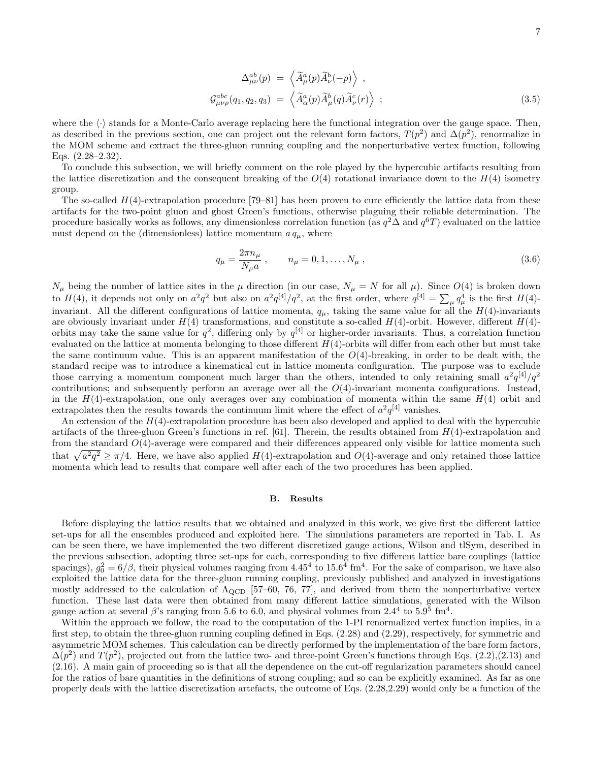$$
\Delta_{\mu\nu}^{ab}(p) = \left\langle \widetilde{A}_{\mu}^{a}(p)\widetilde{A}_{\nu}^{b}(-p) \right\rangle ,
$$
  
\n
$$
\mathcal{G}_{\mu\nu\rho}^{abc}(q_1, q_2, q_3) = \left\langle \widetilde{A}_{\alpha}^{a}(p)\widetilde{A}_{\mu}^{b}(q)\widetilde{A}_{\nu}^{c}(r) \right\rangle ;
$$
\n(3.5)

where the  $\langle \cdot \rangle$  stands for a Monte-Carlo average replacing here the functional integration over the gauge space. Then, as described in the previous section, one can project out the relevant form factors,  $T(p^2)$  and  $\Delta(p^2)$ , renormalize in the MOM scheme and extract the three-gluon running coupling and the nonperturbative vertex function, following Eqs. (2.28–2.32).

To conclude this subsection, we will briefly comment on the role played by the hypercubic artifacts resulting from the lattice discretization and the consequent breaking of the  $O(4)$  rotational invariance down to the  $H(4)$  isometry group.

The so-called  $H(4)$ -extrapolation procedure [79–81] has been proven to cure efficiently the lattice data from these artifacts for the two-point gluon and ghost Green's functions, otherwise plaguing their reliable determination. The procedure basically works as follows, any dimensionless correlation function (as  $q^2\Delta$  and  $q^6T$ ) evaluated on the lattice must depend on the (dimensionless) lattice momentum  $a q<sub>\mu</sub>$ , where

$$
q_{\mu} = \frac{2\pi n_{\mu}}{N_{\mu}a} , \qquad n_{\mu} = 0, 1, ..., N_{\mu} , \qquad (3.6)
$$

 $N_{\mu}$  being the number of lattice sites in the  $\mu$  direction (in our case,  $N_{\mu} = N$  for all  $\mu$ ). Since  $O(4)$  is broken down to  $H(4)$ , it depends not only on  $a^2q^2$  but also on  $a^2q^{[4]}/q^2$ , at the first order, where  $q^{[4]} = \sum_{\mu} q_{\mu}^4$  is the first  $H(4)$ invariant. All the different configurations of lattice momenta,  $q_{\mu}$ , taking the same value for all the  $H(4)$ -invariants are obviously invariant under  $H(4)$  transformations, and constitute a so-called  $H(4)$ -orbit. However, different  $H(4)$ orbits may take the same value for  $q^2$ , differing only by  $q^{[4]}$  or higher-order invariants. Thus, a correlation function evaluated on the lattice at momenta belonging to those different  $H(4)$ -orbits will differ from each other but must take the same continuum value. This is an apparent manifestation of the  $O(4)$ -breaking, in order to be dealt with, the standard recipe was to introduce a kinematical cut in lattice momenta configuration. The purpose was to exclude those carrying a momentum component much larger than the others, intended to only retaining small  $a^2q^{[4]}/q^2$ contributions; and subsequently perform an average over all the  $O(4)$ -invariant momenta configurations. Instead, in the  $H(4)$ -extrapolation, one only averages over any combination of momenta within the same  $H(4)$  orbit and extrapolates then the results towards the continuum limit where the effect of  $a^2q^{[4]}$  vanishes.

An extension of the  $H(4)$ -extrapolation procedure has been also developed and applied to deal with the hypercubic artifacts of the three-gluon Green's functions in ref.  $[61]$ . Therein, the results obtained from  $H(4)$ -extrapolation and from the standard  $O(4)$ -average were compared and their differences appeared only visible for lattice momenta such that  $\sqrt{a^2q^2} \ge \pi/4$ . Here, we have also applied  $H(4)$ -extrapolation and  $O(4)$ -average and only retained those lattice momenta which lead to results that compare well after each of the two procedures has been applied.

#### B. Results

Before displaying the lattice results that we obtained and analyzed in this work, we give first the different lattice set-ups for all the ensembles produced and exploited here. The simulations parameters are reported in Tab. I. As can be seen there, we have implemented the two different discretized gauge actions, Wilson and tlSym, described in the previous subsection, adopting three set-ups for each, corresponding to five different lattice bare couplings (lattice spacings),  $g_0^2 = 6/\beta$ , their physical volumes ranging from  $4.45^4$  to  $15.6^4$  fm<sup>4</sup>. For the sake of comparison, we have also exploited the lattice data for the three-gluon running coupling, previously published and analyzed in investigations mostly addressed to the calculation of  $\Lambda_{\rm QCD}$  [57–60, 76, 77], and derived from them the nonperturbative vertex function. These last data were then obtained from many different lattice simulations, generated with the Wilson gauge action at several  $\beta$ 's ranging from 5.6 to 6.0, and physical volumes from 2.4<sup>4</sup> to 5.9<sup>5</sup> fm<sup>4</sup>.

Within the approach we follow, the road to the computation of the 1-PI renormalized vertex function implies, in a first step, to obtain the three-gluon running coupling defined in Eqs. (2.28) and (2.29), respectively, for symmetric and asymmetric MOM schemes. This calculation can be directly performed by the implementation of the bare form factors,  $\Delta(p^2)$  and  $T(p^2)$ , projected out from the lattice two- and three-point Green's functions through Eqs. (2.2),(2.13) and (2.16). A main gain of proceeding so is that all the dependence on the cut-off regularization parameters should cancel for the ratios of bare quantities in the definitions of strong coupling; and so can be explicitly examined. As far as one properly deals with the lattice discretization artefacts, the outcome of Eqs. (2.28,2.29) would only be a function of the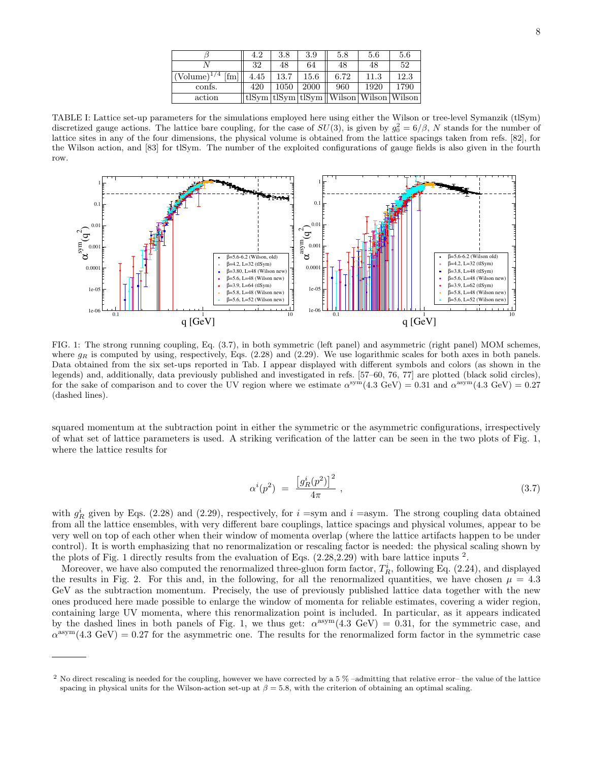|                       | 4.2  | 3.8  | 3.9  | 5.8                                                                                    | 5.6  | 5.6  |
|-----------------------|------|------|------|----------------------------------------------------------------------------------------|------|------|
|                       | 32   | 48   | 64   | 48                                                                                     | 48   | 52   |
| $(Volume)^{1/4}$ [fm] | 4.45 | 13.7 | 15.6 | 6.72                                                                                   | 11.3 | 12.3 |
| confs.                | 420  | 1050 | 2000 | 960                                                                                    | 1920 | 1790 |
| action                |      |      |      | $\frac{1}{\text{tlSym}}\frac{1}{\text{tlSym}}\frac{1}{\text{tN}}$ Wilson Wilson Wilson |      |      |

TABLE I: Lattice set-up parameters for the simulations employed here using either the Wilson or tree-level Symanzik (tlSym) discretized gauge actions. The lattice bare coupling, for the case of  $SU(3)$ , is given by  $g_0^2 = 6/\beta$ , N stands for the number of lattice sites in any of the four dimensions, the physical volume is obtained from the lattice spacings taken from refs. [82], for the Wilson action, and [83] for tlSym. The number of the exploited configurations of gauge fields is also given in the fourth row.



FIG. 1: The strong running coupling, Eq. (3.7), in both symmetric (left panel) and asymmetric (right panel) MOM schemes, where  $g_R$  is computed by using, respectively, Eqs. (2.28) and (2.29). We use logarithmic scales for both axes in both panels. Data obtained from the six set-ups reported in Tab. I appear displayed with different symbols and colors (as shown in the legends) and, additionally, data previously published and investigated in refs. [57–60, 76, 77] are plotted (black solid circles), for the sake of comparison and to cover the UV region where we estimate  $\alpha^{\text{sym}}(4.3 \text{ GeV}) = 0.31$  and  $\alpha^{\text{asym}}(4.3 \text{ GeV}) = 0.27$ (dashed lines).

squared momentum at the subtraction point in either the symmetric or the asymmetric configurations, irrespectively of what set of lattice parameters is used. A striking verification of the latter can be seen in the two plots of Fig. 1, where the lattice results for

$$
\alpha^{i}(p^2) = \frac{\left[g_R^{i}(p^2)\right]^2}{4\pi} \,, \tag{3.7}
$$

with  $g_R^i$  given by Eqs. (2.28) and (2.29), respectively, for  $i =$ sym and  $i =$ asym. The strong coupling data obtained from all the lattice ensembles, with very different bare couplings, lattice spacings and physical volumes, appear to be very well on top of each other when their window of momenta overlap (where the lattice artifacts happen to be under control). It is worth emphasizing that no renormalization or rescaling factor is needed: the physical scaling shown by the plots of Fig. 1 directly results from the evaluation of Eqs.  $(2.28, 2.29)$  with bare lattice inputs  $^2$ .

Moreover, we have also computed the renormalized three-gluon form factor,  $T_R^i$ , following Eq. (2.24), and displayed the results in Fig. 2. For this and, in the following, for all the renormalized quantities, we have chosen  $\mu = 4.3$ GeV as the subtraction momentum. Precisely, the use of previously published lattice data together with the new ones produced here made possible to enlarge the window of momenta for reliable estimates, covering a wider region, containing large UV momenta, where this renormalization point is included. In particular, as it appears indicated by the dashed lines in both panels of Fig. 1, we thus get:  $\alpha^{asym}(4.3 \text{ GeV}) = 0.31$ , for the symmetric case, and  $\alpha^{\text{asym}}(4.3 \text{ GeV}) = 0.27$  for the asymmetric one. The results for the renormalized form factor in the symmetric case

<sup>2</sup> No direct rescaling is needed for the coupling, however we have corrected by a 5 % –admitting that relative error– the value of the lattice spacing in physical units for the Wilson-action set-up at  $\beta = 5.8$ , with the criterion of obtaining an optimal scaling.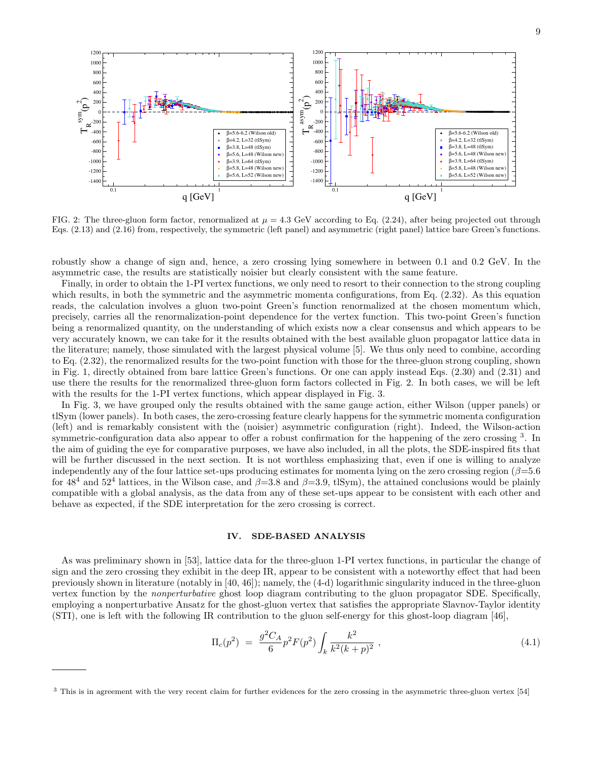

FIG. 2: The three-gluon form factor, renormalized at  $\mu = 4.3$  GeV according to Eq. (2.24), after being projected out through Eqs. (2.13) and (2.16) from, respectively, the symmetric (left panel) and asymmetric (right panel) lattice bare Green's functions.

robustly show a change of sign and, hence, a zero crossing lying somewhere in between 0.1 and 0.2 GeV. In the asymmetric case, the results are statistically noisier but clearly consistent with the same feature.

Finally, in order to obtain the 1-PI vertex functions, we only need to resort to their connection to the strong coupling which results, in both the symmetric and the asymmetric momenta configurations, from Eq.  $(2.32)$ . As this equation reads, the calculation involves a gluon two-point Green's function renormalized at the chosen momentum which, precisely, carries all the renormalization-point dependence for the vertex function. This two-point Green's function being a renormalized quantity, on the understanding of which exists now a clear consensus and which appears to be very accurately known, we can take for it the results obtained with the best available gluon propagator lattice data in the literature; namely, those simulated with the largest physical volume [5]. We thus only need to combine, according to Eq. (2.32), the renormalized results for the two-point function with those for the three-gluon strong coupling, shown in Fig. 1, directly obtained from bare lattice Green's functions. Or one can apply instead Eqs. (2.30) and (2.31) and use there the results for the renormalized three-gluon form factors collected in Fig. 2. In both cases, we will be left with the results for the 1-PI vertex functions, which appear displayed in Fig. 3.

In Fig. 3, we have grouped only the results obtained with the same gauge action, either Wilson (upper panels) or tlSym (lower panels). In both cases, the zero-crossing feature clearly happens for the symmetric momenta configuration (left) and is remarkably consistent with the (noisier) asymmetric configuration (right). Indeed, the Wilson-action symmetric-configuration data also appear to offer a robust confirmation for the happening of the zero crossing <sup>3</sup>. In the aim of guiding the eye for comparative purposes, we have also included, in all the plots, the SDE-inspired fits that will be further discussed in the next section. It is not worthless emphasizing that, even if one is willing to analyze independently any of the four lattice set-ups producing estimates for momenta lying on the zero crossing region ( $\beta$ =5.6 for 48<sup>4</sup> and 52<sup>4</sup> lattices, in the Wilson case, and  $\beta$ =3.8 and  $\beta$ =3.9, tlSym), the attained conclusions would be plainly compatible with a global analysis, as the data from any of these set-ups appear to be consistent with each other and behave as expected, if the SDE interpretation for the zero crossing is correct.

#### IV. SDE-BASED ANALYSIS

As was preliminary shown in [53], lattice data for the three-gluon 1-PI vertex functions, in particular the change of sign and the zero crossing they exhibit in the deep IR, appear to be consistent with a noteworthy effect that had been previously shown in literature (notably in [40, 46]); namely, the (4-d) logarithmic singularity induced in the three-gluon vertex function by the nonperturbative ghost loop diagram contributing to the gluon propagator SDE. Specifically, employing a nonperturbative Ansatz for the ghost-gluon vertex that satisfies the appropriate Slavnov-Taylor identity (STI), one is left with the following IR contribution to the gluon self-energy for this ghost-loop diagram [46],

$$
\Pi_c(p^2) = \frac{g^2 C_A}{6} p^2 F(p^2) \int_k \frac{k^2}{k^2 (k+p)^2} , \qquad (4.1)
$$

<sup>&</sup>lt;sup>3</sup> This is in agreement with the very recent claim for further evidences for the zero crossing in the asymmetric three-gluon vertex [54]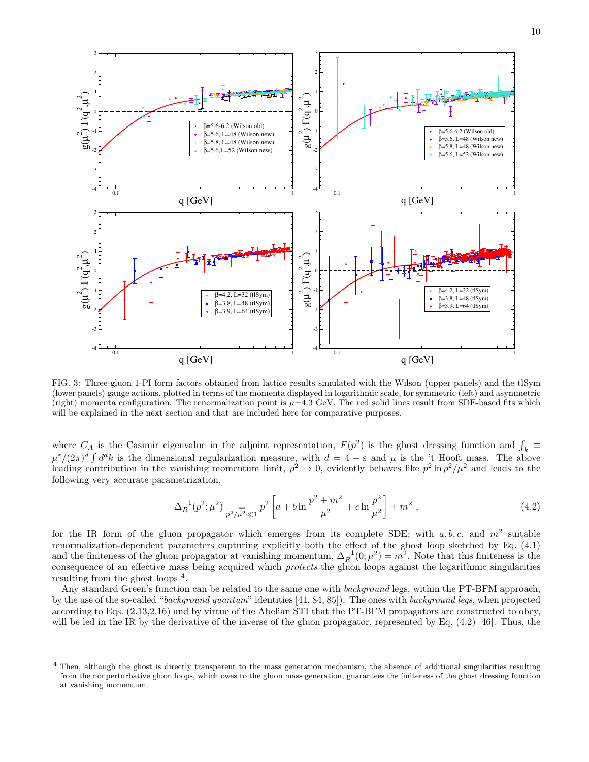

FIG. 3: Three-gluon 1-PI form factors obtained from lattice results simulated with the Wilson (upper panels) and the tlSym (lower panels) gauge actions, plotted in terms of the momenta displayed in logarithmic scale, for symmetric (left) and asymmetric (right) momenta configuration. The renormalization point is  $\mu=4.3$  GeV. The red solid lines result from SDE-based fits which will be explained in the next section and that are included here for comparative purposes.

where  $C_A$  is the Casimir eigenvalue in the adjoint representation,  $F(p^2)$  is the ghost dressing function and  $\int_k$  $\mu^{\varepsilon}/(2\pi)^d \int d^d k$  is the dimensional regularization measure, with  $d=4-\varepsilon$  and  $\mu$  is the 't Hooft mass. The above leading contribution in the vanishing momentum limit,  $p^2 \to 0$ , evidently behaves like  $p^2 \ln p^2 / \mu^2$  and leads to the following very accurate parametrization,

$$
\Delta_R^{-1}(p^2; \mu^2) \underset{p^2/\mu^2 \ll 1}{=} p^2 \left[ a + b \ln \frac{p^2 + m^2}{\mu^2} + c \ln \frac{p^2}{\mu^2} \right] + m^2 , \qquad (4.2)
$$

for the IR form of the gluon propagator which emerges from its complete SDE; with  $a, b, c$ , and  $m^2$  suitable renormalization-dependent parameters capturing explicitly both the effect of the ghost loop sketched by Eq. (4.1) and the finiteness of the gluon propagator at vanishing momentum,  $\Delta_R^{-1}(0;\mu^2) = m^2$ . Note that this finiteness is the consequence of an effective mass being acquired which protects the gluon loops against the logarithmic singularities resulting from the ghost loops<sup>4</sup>.

Any standard Green's function can be related to the same one with *background* legs, within the PT-BFM approach, by the use of the so-called "background quantum" identities [41, 84, 85]). The ones with background legs, when projected according to Eqs. (2.13,2.16) and by virtue of the Abelian STI that the PT-BFM propagators are constructed to obey, will be led in the IR by the derivative of the inverse of the gluon propagator, represented by Eq. (4.2) [46]. Thus, the

<sup>4</sup> Then, although the ghost is directly transparent to the mass generation mechanism, the absence of additional singularities resulting from the nonperturbative gluon loops, which owes to the gluon mass generation, guarantees the finiteness of the ghost dressing function at vanishing momentum.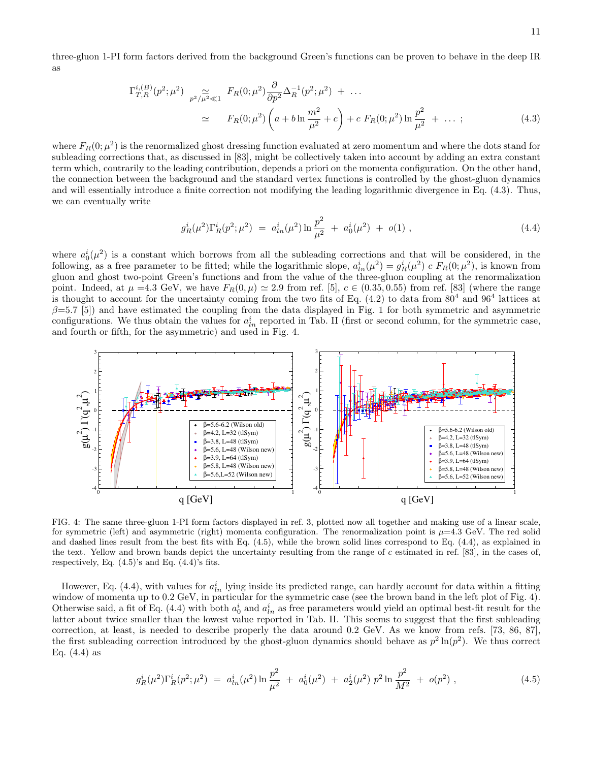three-gluon 1-PI form factors derived from the background Green's functions can be proven to behave in the deep IR as

$$
\Gamma_{T,R}^{i,(B)}(p^2; \mu^2) \underset{p^2/\mu^2 \ll 1}{\simeq} F_R(0; \mu^2) \frac{\partial}{\partial p^2} \Delta_R^{-1}(p^2; \mu^2) + \dots
$$
  

$$
\simeq F_R(0; \mu^2) \left( a + b \ln \frac{m^2}{\mu^2} + c \right) + c \ F_R(0; \mu^2) \ln \frac{p^2}{\mu^2} + \dots ; \tag{4.3}
$$

where  $F_R(0; \mu^2)$  is the renormalized ghost dressing function evaluated at zero momentum and where the dots stand for subleading corrections that, as discussed in [83], might be collectively taken into account by adding an extra constant term which, contrarily to the leading contribution, depends a priori on the momenta configuration. On the other hand, the connection between the background and the standard vertex functions is controlled by the ghost-gluon dynamics and will essentially introduce a finite correction not modifying the leading logarithmic divergence in Eq. (4.3). Thus, we can eventually write

$$
g_R^i(\mu^2) \Gamma_R^i(p^2; \mu^2) = a_{ln}^i(\mu^2) \ln \frac{p^2}{\mu^2} + a_0^i(\mu^2) + o(1) , \qquad (4.4)
$$

where  $a_0^i(\mu^2)$  is a constant which borrows from all the subleading corrections and that will be considered, in the following, as a free parameter to be fitted; while the logarithmic slope,  $a_{ln}^i(\mu^2) = g_R^i(\mu^2) c F_R(0;\mu^2)$ , is known from gluon and ghost two-point Green's functions and from the value of the three-gluon coupling at the renormalization point. Indeed, at  $\mu = 4.3$  GeV, we have  $F_R(0, \mu) \simeq 2.9$  from ref. [5],  $c \in (0.35, 0.55)$  from ref. [83] (where the range is thought to account for the uncertainty coming from the two fits of Eq.  $(4.2)$  to data from  $80^4$  and  $96^4$  lattices at  $\beta$ =5.7 [5]) and have estimated the coupling from the data displayed in Fig. 1 for both symmetric and asymmetric configurations. We thus obtain the values for  $a_{ln}^i$  reported in Tab. II (first or second column, for the symmetric case, and fourth or fifth, for the asymmetric) and used in Fig. 4.



FIG. 4: The same three-gluon 1-PI form factors displayed in ref. 3, plotted now all together and making use of a linear scale, for symmetric (left) and asymmetric (right) momenta configuration. The renormalization point is  $\mu=4.3$  GeV. The red solid and dashed lines result from the best fits with Eq. (4.5), while the brown solid lines correspond to Eq. (4.4), as explained in the text. Yellow and brown bands depict the uncertainty resulting from the range of c estimated in ref. [83], in the cases of, respectively, Eq.  $(4.5)$ 's and Eq.  $(4.4)$ 's fits.

However, Eq. (4.4), with values for  $a_{ln}^i$  lying inside its predicted range, can hardly account for data within a fitting window of momenta up to 0.2 GeV, in particular for the symmetric case (see the brown band in the left plot of Fig. 4). Otherwise said, a fit of Eq. (4.4) with both  $a_0^i$  and  $a_{ln}^i$  as free parameters would yield an optimal best-fit result for the latter about twice smaller than the lowest value reported in Tab. II. This seems to suggest that the first subleading correction, at least, is needed to describe properly the data around 0.2 GeV. As we know from refs. [73, 86, 87], the first subleading correction introduced by the ghost-gluon dynamics should behave as  $p^2 \ln(p^2)$ . We thus correct Eq.  $(4.4)$  as

$$
g_R^i(\mu^2) \Gamma_R^i(p^2; \mu^2) = a_{ln}^i(\mu^2) \ln \frac{p^2}{\mu^2} + a_0^i(\mu^2) + a_2^i(\mu^2) p^2 \ln \frac{p^2}{M^2} + o(p^2) , \qquad (4.5)
$$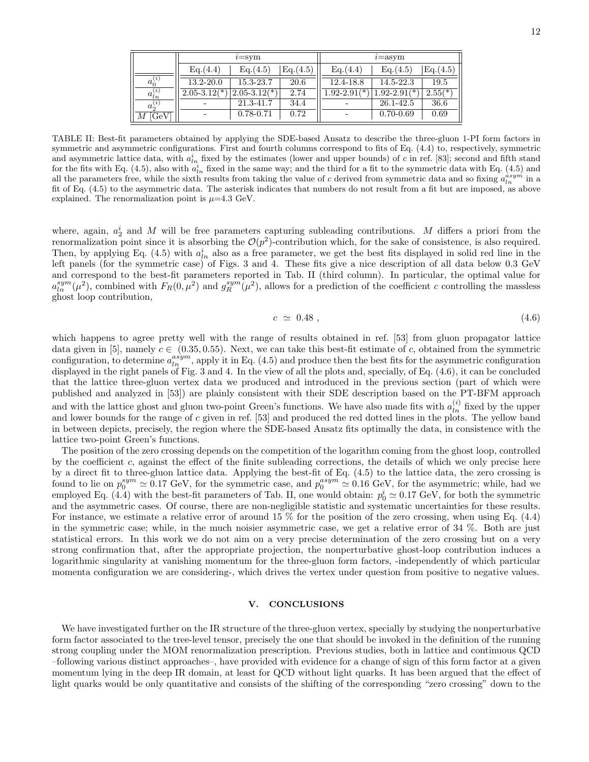|                |                  | $i = sym$        |           | $i =$ asym       |                  |           |  |
|----------------|------------------|------------------|-----------|------------------|------------------|-----------|--|
|                | Eq.(4.4)         | Eq. (4.5)        | Eq. (4.5) | Eq. (4.4)        | Eq. (4.5)        | Eq. (4.5) |  |
| $a_0^{(i)}$    | $13.2 - 20.0$    | 15.3-23.7        | 20.6      | 12.4-18.8        | 14.5-22.3        | 19.5      |  |
| $a_{ln}^{(i)}$ | $2.05 - 3.12(*)$ | $2.05 - 3.12(*)$ | 2.74      | $1.92 - 2.91(*)$ | $1.92 - 2.91(*)$ | $2.55(*)$ |  |
| $a_2^{(i)}$    |                  | 21.3-41.7        | 34.4      |                  | 26.1-42.5        | 36.6      |  |
| [GeV]<br>М     |                  | $0.78 - 0.71$    | 0.72      |                  | $0.70 - 0.69$    | 0.69      |  |

TABLE II: Best-fit parameters obtained by applying the SDE-based Ansatz to describe the three-gluon 1-PI form factors in symmetric and asymmetric configurations. First and fourth columns correspond to fits of Eq. (4.4) to, respectively, symmetric and asymmetric lattice data, with  $a_{ln}^i$  fixed by the estimates (lower and upper bounds) of c in ref. [83]; second and fifth stand for the fits with Eq. (4.5), also with  $a_{ln}^i$  fixed in the same way; and the third for a fit to the symmetric data with Eq. (4.5) and all the parameters free, while the sixth results from taking the value of c derived from symmetric data and so fixing  $a_{ln}^{asym}$  in a fit of Eq. (4.5) to the asymmetric data. The asterisk indicates that numbers do not result from a fit but are imposed, as above explained. The renormalization point is  $\mu$ =4.3 GeV.

where, again,  $a_2^i$  and M will be free parameters capturing subleading contributions. M differs a priori from the renormalization point since it is absorbing the  $\mathcal{O}(p^2)$ -contribution which, for the sake of consistence, is also required. Then, by applying Eq. (4.5) with  $a_{ln}^i$  also as a free parameter, we get the best fits displayed in solid red line in the left panels (for the symmetric case) of Figs. 3 and 4. These fits give a nice description of all data below 0.3 GeV and correspond to the best-fit parameters reported in Tab. II (third column). In particular, the optimal value for  $a_{ln}^{sym}(\mu^2)$ , combined with  $F_R(0,\mu^2)$  and  $g_R^{sym}(\mu^2)$ , allows for a prediction of the coefficient c controlling the massless ghost loop contribution,

$$
c \simeq 0.48 \tag{4.6}
$$

which happens to agree pretty well with the range of results obtained in ref. [53] from gluon propagator lattice data given in [5], namely  $c \in (0.35, 0.55)$ . Next, we can take this best-fit estimate of c, obtained from the symmetric configuration, to determine  $a_{ln}^{asym}$ , apply it in Eq. (4.5) and produce then the best fits for the asymmetric configuration displayed in the right panels of Fig. 3 and 4. In the view of all the plots and, specially, of Eq.  $(4.6)$ , it can be concluded that the lattice three-gluon vertex data we produced and introduced in the previous section (part of which were published and analyzed in [53]) are plainly consistent with their SDE description based on the PT-BFM approach and with the lattice ghost and gluon two-point Green's functions. We have also made fits with  $a_{ln}^{(i)}$  fixed by the upper and lower bounds for the range of c given in ref. [53] and produced the red dotted lines in the plots. The yellow band in between depicts, precisely, the region where the SDE-based Ansatz fits optimally the data, in consistence with the lattice two-point Green's functions.

The position of the zero crossing depends on the competition of the logarithm coming from the ghost loop, controlled by the coefficient c, against the effect of the finite subleading corrections, the details of which we only precise here by a direct fit to three-gluon lattice data. Applying the best-fit of Eq. (4.5) to the lattice data, the zero crossing is found to lie on  $p_0^{sym} \simeq 0.17$  GeV, for the symmetric case, and  $p_0^{asym} \simeq 0.16$  GeV, for the asymmetric; while, had we employed Eq. (4.4) with the best-fit parameters of Tab. II, one would obtain:  $p_0^i \simeq 0.17 \text{ GeV}$ , for both the symmetric and the asymmetric cases. Of course, there are non-negligible statistic and systematic uncertainties for these results. For instance, we estimate a relative error of around 15 % for the position of the zero crossing, when using Eq.  $(4.4)$ in the symmetric case; while, in the much noisier asymmetric case, we get a relative error of 34 %. Both are just statistical errors. In this work we do not aim on a very precise determination of the zero crossing but on a very strong confirmation that, after the appropriate projection, the nonperturbative ghost-loop contribution induces a logarithmic singularity at vanishing momentum for the three-gluon form factors, -independently of which particular momenta configuration we are considering-, which drives the vertex under question from positive to negative values.

#### V. CONCLUSIONS

We have investigated further on the IR structure of the three-gluon vertex, specially by studying the nonperturbative form factor associated to the tree-level tensor, precisely the one that should be invoked in the definition of the running strong coupling under the MOM renormalization prescription. Previous studies, both in lattice and continuous QCD –following various distinct approaches–, have provided with evidence for a change of sign of this form factor at a given momentum lying in the deep IR domain, at least for QCD without light quarks. It has been argued that the effect of light quarks would be only quantitative and consists of the shifting of the corresponding "zero crossing" down to the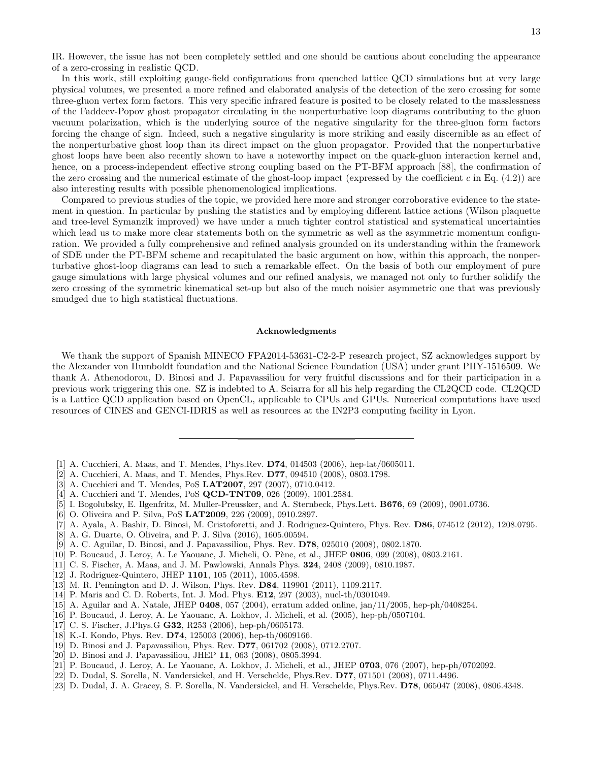IR. However, the issue has not been completely settled and one should be cautious about concluding the appearance of a zero-crossing in realistic QCD.

In this work, still exploiting gauge-field configurations from quenched lattice QCD simulations but at very large physical volumes, we presented a more refined and elaborated analysis of the detection of the zero crossing for some three-gluon vertex form factors. This very specific infrared feature is posited to be closely related to the masslessness of the Faddeev-Popov ghost propagator circulating in the nonperturbative loop diagrams contributing to the gluon vacuum polarization, which is the underlying source of the negative singularity for the three-gluon form factors forcing the change of sign. Indeed, such a negative singularity is more striking and easily discernible as an effect of the nonperturbative ghost loop than its direct impact on the gluon propagator. Provided that the nonperturbative ghost loops have been also recently shown to have a noteworthy impact on the quark-gluon interaction kernel and, hence, on a process-independent effective strong coupling based on the PT-BFM approach [88], the confirmation of the zero crossing and the numerical estimate of the ghost-loop impact (expressed by the coefficient c in Eq.  $(4.2)$ ) are also interesting results with possible phenomenological implications.

Compared to previous studies of the topic, we provided here more and stronger corroborative evidence to the statement in question. In particular by pushing the statistics and by employing different lattice actions (Wilson plaquette and tree-level Symanzik improved) we have under a much tighter control statistical and systematical uncertainties which lead us to make more clear statements both on the symmetric as well as the asymmetric momentum configuration. We provided a fully comprehensive and refined analysis grounded on its understanding within the framework of SDE under the PT-BFM scheme and recapitulated the basic argument on how, within this approach, the nonperturbative ghost-loop diagrams can lead to such a remarkable effect. On the basis of both our employment of pure gauge simulations with large physical volumes and our refined analysis, we managed not only to further solidify the zero crossing of the symmetric kinematical set-up but also of the much noisier asymmetric one that was previously smudged due to high statistical fluctuations.

#### Acknowledgments

We thank the support of Spanish MINECO FPA2014-53631-C2-2-P research project, SZ acknowledges support by the Alexander von Humboldt foundation and the National Science Foundation (USA) under grant PHY-1516509. We thank A. Athenodorou, D. Binosi and J. Papavassiliou for very fruitful discussions and for their participation in a previous work triggering this one. SZ is indebted to A. Sciarra for all his help regarding the CL2QCD code. CL2QCD is a Lattice QCD application based on OpenCL, applicable to CPUs and GPUs. Numerical computations have used resources of CINES and GENCI-IDRIS as well as resources at the IN2P3 computing facility in Lyon.

- [1] A. Cucchieri, A. Maas, and T. Mendes, Phys.Rev. D74, 014503 (2006), hep-lat/0605011.
- [2] A. Cucchieri, A. Maas, and T. Mendes, Phys.Rev. D77, 094510 (2008), 0803.1798.
- [3] A. Cucchieri and T. Mendes, PoS LAT2007, 297 (2007), 0710.0412.
- [4] A. Cucchieri and T. Mendes, PoS QCD-TNT09, 026 (2009), 1001.2584.
- [5] I. Bogolubsky, E. Ilgenfritz, M. Muller-Preussker, and A. Sternbeck, Phys.Lett. **B676**, 69 (2009), 0901.0736.
- [6] O. Oliveira and P. Silva, PoS LAT2009, 226 (2009), 0910.2897.
- [7] A. Ayala, A. Bashir, D. Binosi, M. Cristoforetti, and J. Rodriguez-Quintero, Phys. Rev. D86, 074512 (2012), 1208.0795.
- [8] A. G. Duarte, O. Oliveira, and P. J. Silva (2016), 1605.00594.
- [9] A. C. Aguilar, D. Binosi, and J. Papavassiliou, Phys. Rev. D78, 025010 (2008), 0802.1870.
- [10] P. Boucaud, J. Leroy, A. Le Yaouanc, J. Micheli, O. Pène, et al., JHEP 0806, 099 (2008), 0803.2161.
- [11] C. S. Fischer, A. Maas, and J. M. Pawlowski, Annals Phys. 324, 2408 (2009), 0810.1987.
- [12] J. Rodriguez-Quintero, JHEP 1101, 105 (2011), 1005.4598.
- [13] M. R. Pennington and D. J. Wilson, Phys. Rev. D84, 119901 (2011), 1109.2117.
- [14] P. Maris and C. D. Roberts, Int. J. Mod. Phys. E12, 297 (2003), nucl-th/0301049.
- [15] A. Aguilar and A. Natale, JHEP 0408, 057 (2004), erratum added online, jan/11/2005, hep-ph/0408254.
- [16] P. Boucaud, J. Leroy, A. Le Yaouanc, A. Lokhov, J. Micheli, et al. (2005), hep-ph/0507104.
- [17] C. S. Fischer, J.Phys.G G32, R253 (2006), hep-ph/0605173.
- [18] K.-I. Kondo, Phys. Rev. **D74**, 125003 (2006), hep-th/0609166.
- [19] D. Binosi and J. Papavassiliou, Phys. Rev. D77, 061702 (2008), 0712.2707.
- [20] D. Binosi and J. Papavassiliou, JHEP 11, 063 (2008), 0805.3994.
- [21] P. Boucaud, J. Leroy, A. Le Yaouanc, A. Lokhov, J. Micheli, et al., JHEP 0703, 076 (2007), hep-ph/0702092.
- [22] D. Dudal, S. Sorella, N. Vandersickel, and H. Verschelde, Phys.Rev. D77, 071501 (2008), 0711.4496.
- [23] D. Dudal, J. A. Gracey, S. P. Sorella, N. Vandersickel, and H. Verschelde, Phys.Rev. D78, 065047 (2008), 0806.4348.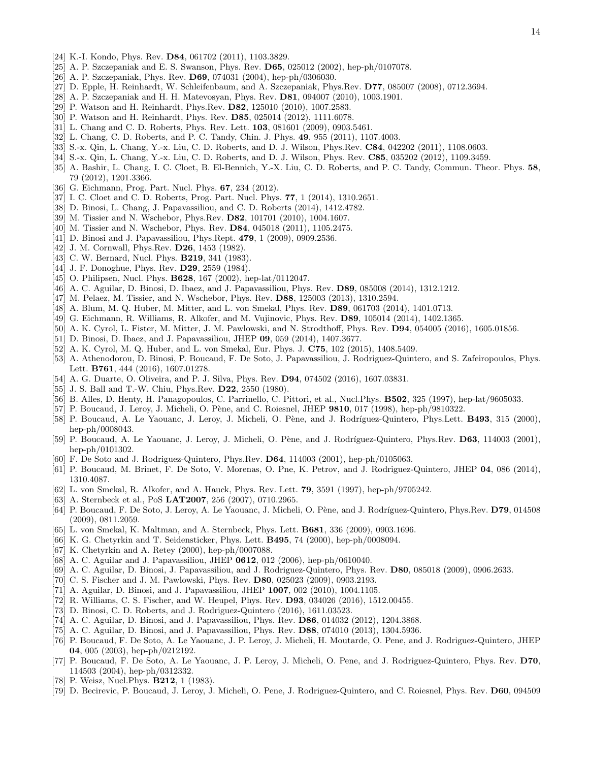- [24] K.-I. Kondo, Phys. Rev. D84, 061702 (2011), 1103.3829.
- [25] A. P. Szczepaniak and E. S. Swanson, Phys. Rev. D65, 025012 (2002), hep-ph/0107078.
- [26] A. P. Szczepaniak, Phys. Rev. D69, 074031 (2004), hep-ph/0306030.
- [27] D. Epple, H. Reinhardt, W. Schleifenbaum, and A. Szczepaniak, Phys.Rev. D77, 085007 (2008), 0712.3694.
- [28] A. P. Szczepaniak and H. H. Matevosyan, Phys. Rev. D81, 094007 (2010), 1003.1901.
- [29] P. Watson and H. Reinhardt, Phys.Rev. D82, 125010 (2010), 1007.2583.
- [30] P. Watson and H. Reinhardt, Phys. Rev. D85, 025014 (2012), 1111.6078.
- [31] L. Chang and C. D. Roberts, Phys. Rev. Lett. **103**, 081601 (2009), 0903.5461.
- [32] L. Chang, C. D. Roberts, and P. C. Tandy, Chin. J. Phys. 49, 955 (2011), 1107.4003.
- [33] S.-x. Qin, L. Chang, Y.-x. Liu, C. D. Roberts, and D. J. Wilson, Phys.Rev. C84, 042202 (2011), 1108.0603.
- [34] S.-x. Qin, L. Chang, Y.-x. Liu, C. D. Roberts, and D. J. Wilson, Phys. Rev. **C85**, 035202 (2012), 1109.3459.
- [35] A. Bashir, L. Chang, I. C. Cloet, B. El-Bennich, Y.-X. Liu, C. D. Roberts, and P. C. Tandy, Commun. Theor. Phys. 58, 79 (2012), 1201.3366.
- [36] G. Eichmann, Prog. Part. Nucl. Phys. **67**, 234 (2012).
- [37] I. C. Cloet and C. D. Roberts, Prog. Part. Nucl. Phys. 77, 1 (2014), 1310.2651.
- [38] D. Binosi, L. Chang, J. Papavassiliou, and C. D. Roberts (2014), 1412.4782.
- [39] M. Tissier and N. Wschebor, Phys.Rev. D82, 101701 (2010), 1004.1607.
- [40] M. Tissier and N. Wschebor, Phys. Rev. D84, 045018 (2011), 1105.2475.
- [41] D. Binosi and J. Papavassiliou, Phys.Rept. 479, 1 (2009), 0909.2536.
- [42] J. M. Cornwall, Phys.Rev. **D26**, 1453 (1982).
- [43] C. W. Bernard, Nucl. Phys. **B219**, 341 (1983).
- [44] J. F. Donoghue, Phys. Rev. **D29**, 2559 (1984).
- [45] O. Philipsen, Nucl. Phys. **B628**, 167 (2002), hep-lat/0112047.
- [46] A. C. Aguilar, D. Binosi, D. Ibaez, and J. Papavassiliou, Phys. Rev. D89, 085008 (2014), 1312.1212.
- [47] M. Pelaez, M. Tissier, and N. Wschebor, Phys. Rev. D88, 125003 (2013), 1310.2594.
- [48] A. Blum, M. Q. Huber, M. Mitter, and L. von Smekal, Phys. Rev. D89, 061703 (2014), 1401.0713.
- [49] G. Eichmann, R. Williams, R. Alkofer, and M. Vujinovic, Phys. Rev. D89, 105014 (2014), 1402.1365.
- [50] A. K. Cyrol, L. Fister, M. Mitter, J. M. Pawlowski, and N. Strodthoff, Phys. Rev. D94, 054005 (2016), 1605.01856.
- [51] D. Binosi, D. Ibaez, and J. Papavassiliou, JHEP 09, 059 (2014), 1407.3677.
- [52] A. K. Cyrol, M. Q. Huber, and L. von Smekal, Eur. Phys. J. C75, 102 (2015), 1408.5409.
- [53] A. Athenodorou, D. Binosi, P. Boucaud, F. De Soto, J. Papavassiliou, J. Rodriguez-Quintero, and S. Zafeiropoulos, Phys. Lett. B761, 444 (2016), 1607.01278.
- [54] A. G. Duarte, O. Oliveira, and P. J. Silva, Phys. Rev. D94, 074502 (2016), 1607.03831.
- [55] J. S. Ball and T.-W. Chiu, Phys.Rev. **D22**, 2550 (1980).
- [56] B. Alles, D. Henty, H. Panagopoulos, C. Parrinello, C. Pittori, et al., Nucl.Phys. **B502**, 325 (1997), hep-lat/9605033.
- [57] P. Boucaud, J. Leroy, J. Micheli, O. Pène, and C. Roiesnel, JHEP 9810, 017 (1998), hep-ph/9810322.
- [58] P. Boucaud, A. Le Yaouanc, J. Leroy, J. Micheli, O. Pène, and J. Rodríguez-Quintero, Phys.Lett. **B493**, 315 (2000), hep-ph/0008043.
- [59] P. Boucaud, A. Le Yaouanc, J. Leroy, J. Micheli, O. Pène, and J. Rodríguez-Quintero, Phys.Rev. D63, 114003 (2001), hep-ph/0101302.
- [60] F. De Soto and J. Rodriguez-Quintero, Phys.Rev. D64, 114003 (2001), hep-ph/0105063.
- [61] P. Boucaud, M. Brinet, F. De Soto, V. Morenas, O. Pne, K. Petrov, and J. Rodriguez-Quintero, JHEP 04, 086 (2014), 1310.4087.
- [62] L. von Smekal, R. Alkofer, and A. Hauck, Phys. Rev. Lett. 79, 3591 (1997), hep-ph/9705242.
- [63] A. Sternbeck et al., PoS **LAT2007**, 256 (2007), 0710.2965.
- [64] P. Boucaud, F. De Soto, J. Leroy, A. Le Yaouanc, J. Micheli, O. Pène, and J. Rodríguez-Quintero, Phys.Rev. D79, 014508 (2009), 0811.2059.
- [65] L. von Smekal, K. Maltman, and A. Sternbeck, Phys. Lett. B681, 336 (2009), 0903.1696.
- [66] K. G. Chetyrkin and T. Seidensticker, Phys. Lett. B495, 74 (2000), hep-ph/0008094.
- [67] K. Chetyrkin and A. Retey (2000), hep-ph/0007088.
- [68] A. C. Aguilar and J. Papavassiliou, JHEP 0612, 012 (2006), hep-ph/0610040.
- [69] A. C. Aguilar, D. Binosi, J. Papavassiliou, and J. Rodriguez-Quintero, Phys. Rev. D80, 085018 (2009), 0906.2633.
- [70] C. S. Fischer and J. M. Pawlowski, Phys. Rev. D80, 025023 (2009), 0903.2193.
- [71] A. Aguilar, D. Binosi, and J. Papavassiliou, JHEP 1007, 002 (2010), 1004.1105.
- [72] R. Williams, C. S. Fischer, and W. Heupel, Phys. Rev. D93, 034026 (2016), 1512.00455.
- [73] D. Binosi, C. D. Roberts, and J. Rodriguez-Quintero (2016), 1611.03523.
- [74] A. C. Aguilar, D. Binosi, and J. Papavassiliou, Phys. Rev. D86, 014032 (2012), 1204.3868.
- [75] A. C. Aguilar, D. Binosi, and J. Papavassiliou, Phys. Rev. D88, 074010 (2013), 1304.5936.
- [76] P. Boucaud, F. De Soto, A. Le Yaouanc, J. P. Leroy, J. Micheli, H. Moutarde, O. Pene, and J. Rodriguez-Quintero, JHEP 04, 005 (2003), hep-ph/0212192.
- [77] P. Boucaud, F. De Soto, A. Le Yaouanc, J. P. Leroy, J. Micheli, O. Pene, and J. Rodriguez-Quintero, Phys. Rev. D70, 114503 (2004), hep-ph/0312332.
- [78] P. Weisz, Nucl. Phys. **B212**, 1 (1983).
- [79] D. Becirevic, P. Boucaud, J. Leroy, J. Micheli, O. Pene, J. Rodriguez-Quintero, and C. Roiesnel, Phys. Rev. D60, 094509